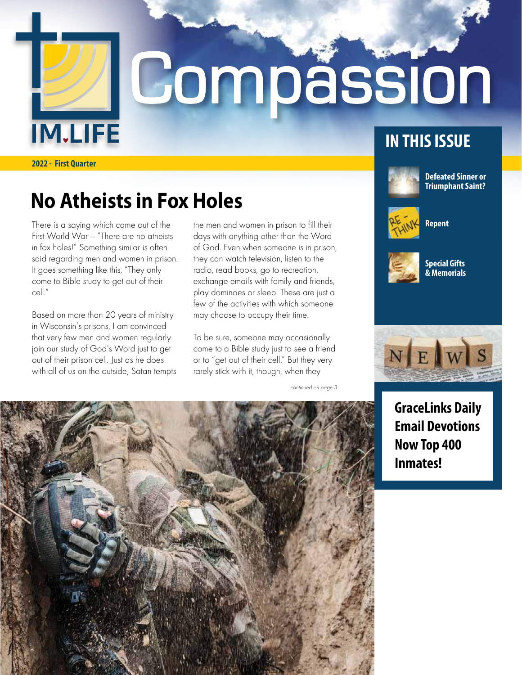

# **Compassion**

**2022 - First Quarter**

## **No Atheists in Fox Holes**

There is a saying which came out of the First World War — "There are no atheists in fox holes!" Something similar is often said regarding men and women in prison. It goes something like this, "They only come to Bible study to get out of their cell."

Based on more than 20 years of ministry in Wisconsin's prisons, I am convinced that very few men and women regularly join our study of God's Word just to get out of their prison cell. Just as he does with all of us on the outside, Satan tempts the men and women in prison to fill their days with anything other than the Word of God. Even when someone is in prison, they can watch television, listen to the radio, read books, go to recreation, exchange emails with family and friends, play dominoes or sleep. These are just a few of the activities with which someone may choose to occupy their time.

To be sure, someone may occasionally come to a Bible study just to see a friend or to "get out of their cell." But they very rarely stick with it, though, when they

continued on page 3





**Defeated Sinner or Triumphant Saint?**



**Repent**



**Special Gifts & Memorials**



**GraceLinks Daily Email Devotions Now Top 400 Inmates!**

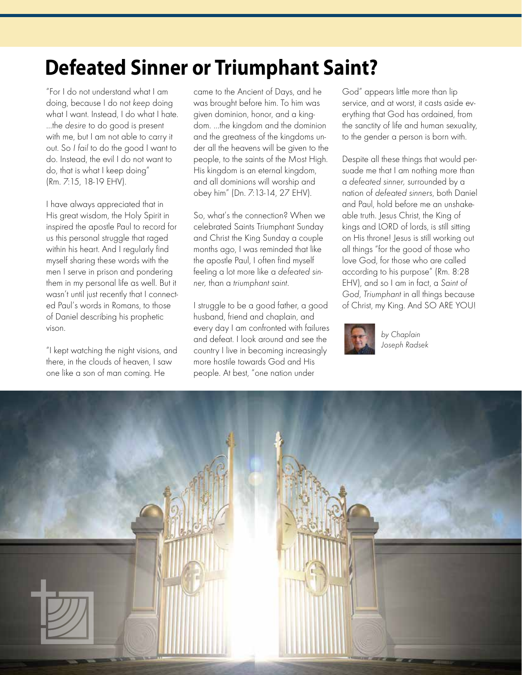# **Defeated Sinner or Triumphant Saint?**

"For I do not understand what I am doing, because I do not keep doing what I want. Instead, I do what I hate. …the desire to do good is present with me, but I am not able to carry it out. So I fail to do the good I want to do. Instead, the evil I do not want to do, that is what I keep doing" (Rm. 7:15, 18-19 EHV).

I have always appreciated that in His great wisdom, the Holy Spirit in inspired the apostle Paul to record for us this personal struggle that raged within his heart. And I regularly find myself sharing these words with the men I serve in prison and pondering them in my personal life as well. But it wasn't until just recently that I connected Paul's words in Romans, to those of Daniel describing his prophetic vison.

"I kept watching the night visions, and there, in the clouds of heaven, I saw one like a son of man coming. He

came to the Ancient of Days, and he was brought before him. To him was given dominion, honor, and a kingdom. …the kingdom and the dominion and the greatness of the kingdoms under all the heavens will be given to the people, to the saints of the Most High. His kingdom is an eternal kingdom, and all dominions will worship and obey him" (Dn. 7:13-14, 27 EHV).

So, what's the connection? When we celebrated Saints Triumphant Sunday and Christ the King Sunday a couple months ago, I was reminded that like the apostle Paul, I often find myself feeling a lot more like a defeated sinner, than a triumphant saint.

I struggle to be a good father, a good husband, friend and chaplain, and every day I am confronted with failures and defeat. I look around and see the country I live in becoming increasingly more hostile towards God and His people. At best, "one nation under

God" appears little more than lip service, and at worst, it casts aside everything that God has ordained, from the sanctity of life and human sexuality, to the gender a person is born with.

Despite all these things that would persuade me that I am nothing more than a defeated sinner, surrounded by a nation of defeated sinners, both Daniel and Paul, hold before me an unshakeable truth. Jesus Christ, the King of kings and LORD of lords, is still sitting on His throne! Jesus is still working out all things "for the good of those who love God, for those who are called according to his purpose" (Rm. 8:28 EHV), and so I am in fact, a Saint of God, Triumphant in all things because of Christ, my King. And SO ARE YOU!



by Chaplain Joseph Radsek

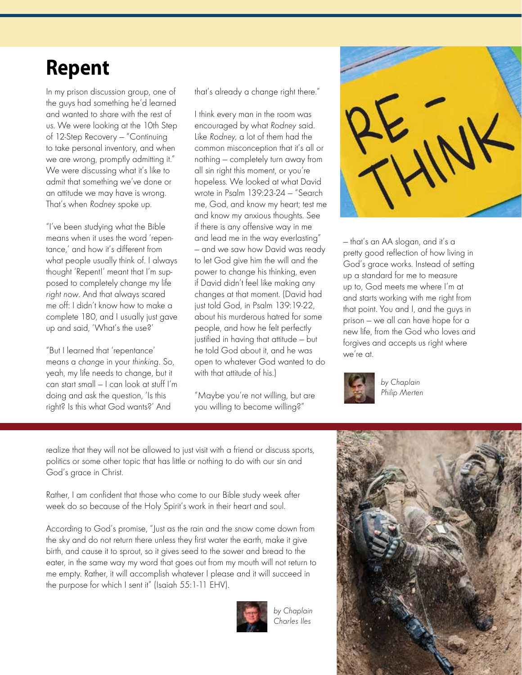# **Repent**

In my prison discussion group, one of the guys had something he'd learned and wanted to share with the rest of us. We were looking at the 10th Step of 12-Step Recovery — "Continuing to take personal inventory, and when we are wrong, promptly admitting it." We were discussing what it's like to admit that something we've done or an attitude we may have is wrong. That's when Rodney spoke up.

"I've been studying what the Bible means when it uses the word 'repentance,' and how it's different from what people usually think of. I always thought 'Repent!' meant that I'm supposed to completely change my life right now. And that always scared me off: I didn't know how to make a complete 180, and I usually just gave up and said, 'What's the use?'

"But I learned that 'repentance' means a change in your thinking. So, yeah, my life needs to change, but it can start small — I can look at stuff I'm doing and ask the question, 'Is this right? Is this what God wants?' And

that's already a change right there."

I think every man in the room was encouraged by what Rodney said. Like Rodney, a lot of them had the common misconception that it's all or nothing — completely turn away from all sin right this moment, or you're hopeless. We looked at what David wrote in Psalm 139:23-24 — "Search me, God, and know my heart; test me and know my anxious thoughts. See if there is any offensive way in me and lead me in the way everlasting" — and we saw how David was ready to let God give him the will and the power to change his thinking, even if David didn't feel like making any changes at that moment. (David had just told God, in Psalm 139:19-22, about his murderous hatred for some people, and how he felt perfectly justified in having that attitude — but he told God about it, and he was open to whatever God wanted to do with that attitude of his.)

"Maybe you're not willing, but are you willing to become willing?"



— that's an AA slogan, and it's a pretty good reflection of how living in God's grace works. Instead of setting up a standard for me to measure up to, God meets me where I'm at and starts working with me right from that point. You and I, and the guys in prison — we all can have hope for a new life, from the God who loves and forgives and accepts us right where we're at.



by Chaplain Philip Merten

realize that they will not be allowed to just visit with a friend or discuss sports, politics or some other topic that has little or nothing to do with our sin and God's grace in Christ.

Rather, I am confident that those who come to our Bible study week after week do so because of the Holy Spirit's work in their heart and soul.

According to God's promise, "Just as the rain and the snow come down from the sky and do not return there unless they first water the earth, make it give birth, and cause it to sprout, so it gives seed to the sower and bread to the eater, in the same way my word that goes out from my mouth will not return to me empty. Rather, it will accomplish whatever I please and it will succeed in the purpose for which I sent it" (Isaiah 55:1-11 EHV).



by Chaplain Charles Iles